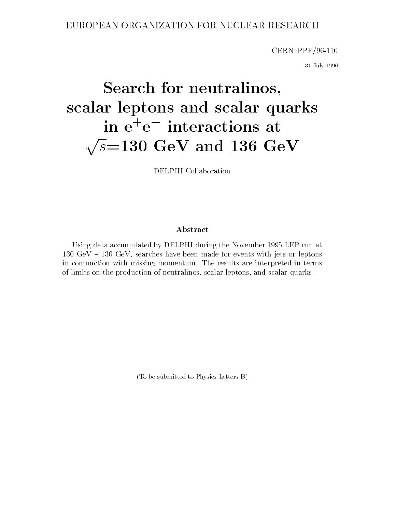### EUROPEAN ORGANIZATION FOR NUCLEAR RESEARCH

 $CERN–PPE/96-110$ 

31 July 1996

# Search for neutralinos, scalar leptons and scalar quarks in e+ e interactions at <u>provides</u> and the set of the set of the set of the set of the set of the set of the set of the set of the set of the set of the set of the set of the set of the set of the set of the set of the set of the set of the set o s=130 Gev and 136 Gev and 136 Gev and 136 Gev and 136 Gev and 136 Gev and 136 Gev and 136 Gev and 136 Gev and

DELPHI Collaboration

### Abstract

Using data accumulated by DELPHI during the November 1995 LEP run at  $130 \text{ GeV} - 136 \text{ GeV}$ , searches have been made for events with jets or leptons in conjunction with missing momentum. The results are interpreted in terms of limits on the production of neutralinos, scalar leptons, and scalar quarks.

(To be submitted to Physics Letters B)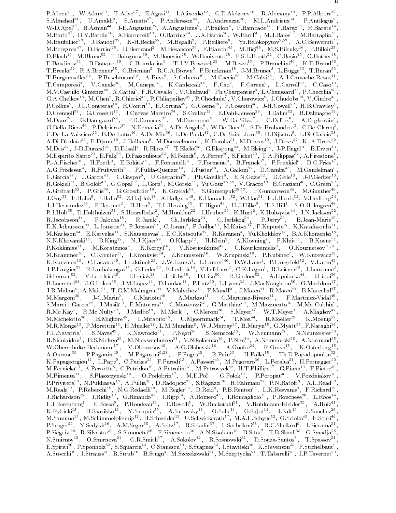<u>in material contracts</u> P.Abreu<sup>21</sup>, W.Adam<sup>21</sup>, T.Adye<sup>21</sup>, E.Agasi<sup>2</sup>, T.Ajinenko<sup>22</sup>, G.D.Alekseev<sup>22</sup>, R.Alemany<sup>22</sup>, P.Abreu<sup>22</sup>, W.Adam<sup>23</sup>, J.Adye<sup>23</sup>, B.Amato<sup>47</sup>, P.Andersson<sup>44</sup>, A.Andreazza<sup>28</sup>, M.L.Andrieux<sup>14</sup>, P.P.Aliport<sup>23</sup>, W.D.Apel<sup>17</sup>, B.Asman<sup>44</sup>, J.E.Augustin<sup>25</sup>, A.Augustinus<sup>9</sup>, P.Baillon<sup>9</sup>, P.Bambade<sup>19</sup>, F.Barao<sup>21</sup>, D.Bloch ", M.Blume", T.Bolognese", M.Bonesini", W.Bonivento", P.S.L.Booth", C.Bosio ", O.Botner", ", E.Boudinov B.Bouquet C.Bourdarios 1.J.V.Bowcock M.Bozzo P.Branchini N.D.Brand , 1.Brenke<sup>-</sup>, K.A.Brenner<sup>--</sup>, C.Bricman<sup>-</sup>, K.C.A.Brown<sup>-</sup>, P.Bruckman<sup>--</sup>, J-M.Brunet<sup>-</sup>, L.Bugge<sup>--</sup>, T.Buran<sup>--</sup>, 1.Burgsmueller<sup>--</sup>, P.Buschmann<sup>--</sup>, A.Buys<sup>-</sup>, S.Cabrera<sup>--</sup>, M.Caccia<sup>--</sup>, M.Calvi<sup>--</sup>, A.J.Camacho Rozas<sup>--</sup>,<br>T.Camporesi<sup>9</sup>, V.Canale<sup>38</sup>, M.Canepa<sup>13</sup>, K.Cankocak<sup>44</sup>, F.Cao<sup>2</sup>, F.Carena<sup>9</sup>, L.Carroll<sup>22</sup>, C.Caso<sup>13</sup>, 1.Campores1', V.Canale<sup>--</sup>, M.Canepa<sup>--</sup>, K.Cankocak<sup>--</sup>, F.Cao<sup>-</sup>, F.Carena', L.Carroll<sup>--</sup>, C.Caso<sup>--</sup>,<br>M.V.Castillo Gimenez<sup>49</sup>, A.Cattai<sup>9</sup>, F.R.Cavallo<sup>5</sup>, V.Chabaud<sup>9</sup>, Ph.Charpentier<sup>9</sup>, L.Chaussard<sup>25</sup>, P.Checchia<sup></sup> G.A.Chelkov<sup>--</sup>, M.Chen<sup>-</sup>, R.Chlerici<sup>--</sup>, P.Chlaphikov<sup>--</sup>, P.Chochula<sup>-</sup>, V.Chorowicz<sup>-</sup>, J.Chudoba<sup>--</sup>, V.Chdro<sup>--</sup>,<br>P.Collins<sup>9</sup>, J.L.Contreras<sup>19</sup>, R.Contri<sup>13</sup>, E.Cortina<sup>49</sup>, G.Cosme<sup>19</sup>, F.Cossutti<sup>46</sup>, J-H.Cowell A.Di Diodato", F.Djama", J.Dolbeau", M.Donszelmann", K.Doroba", M.Dracos'', J.Drees", K.-A.Drees", ' M.Dris<sup>32</sup>, J-D.Durand<sup>25</sup>, D.Edsall<sup>1</sup>, R.Ehret<sup>17</sup>, T.Ekelof<sup>48</sup>, G.Ekspong<sup>44</sup>, M.Elsing<sup>52</sup>, J-P.Engel<sup>10</sup>, B.Erzen<sup>43</sup>,<br>M.Espirito Santo<sup>21</sup>, E.Falk<sup>24</sup>, D.Fassouliotis<sup>32</sup>, M.Feindt<sup>9</sup>, A.Ferrer<sup>49</sup>, S.Fichet<sup>23</sup>, T. M. Espirito Santo", E. Falk<sup>e-1</sup>, D. Fassoulois", M. Felmdt', A. Ferret", S. Fichet"', J. A. Filippas", A. Frestone<br>
A. G. Frodesch<sup>4,</sup> R. Fruhwirth<sup>50</sup>, E. Fokitis<sup>22</sup>, F. Foundal-Quenzer<sup>19</sup>, D. Frestone, B. G. Garbard, M.Karlsson \*\*, E.Karvelas \*\*, S.Katsanevas \*, E.C.Katsoufis \*\*, K.Keranen \*, Yu.Khokhlov \*\*, B.A.Khomenko \*\*,<br>N.N.Khovanski<sup>16</sup>, B.King<sup>22</sup>, N.J.Kjaer<sup>29</sup>, O.Klapp<sup>52</sup>, H.Klein<sup>9</sup>, A.Klovning \*, P.Kluit \*1, B.Koene \*1, N.N.Knovanski<sup>21</sup>, B.King<sup>22</sup>, N.J.Kjaer<sup>22</sup>, O.Kiapp<sup>22</sup>, H.Kieln<sup>-</sup>, A.Klovning<sup>2</sup>, P.Kluit<sup>22</sup>, B.Koene<sup>22</sup>, P.Kokkinias<sup>11</sup>, M.Koratzinos<sup>9</sup>, K.Korcyl<sup>18</sup>, V.Kostioukhine<sup>42</sup>, C.Kourkoumelis<sup>3</sup>, O.Kouznetsov<sup>13,16</sup>, M. B.Loerstad", J.G.Loken", J.M.Lopez", D.Loukas", P.Lutz", L.Lyons", J.MacNaughton", G.Maehium",<br>J.R.Mahon<sup>6</sup>, A.Maio<sup>21</sup>, T.G.M.Malmgren<sup>44</sup>, V.Malychev<sup>16</sup>, F.Mandl<sup>50</sup>, J.Macco<sup>41</sup>, R.Marco<sup>41</sup>, B.Marechal<sup>47</sup>,<br>M.Margoni<sup></sup> K.Mc Nay-, K.Mc Nutty--, J.Medbo--, M.Merk--, C.Meroni--, S.Meyer--, W.I.Meyer-, A.Mlagkov--,<br>M.Michelotto<sup>36</sup>, E.Migliore<sup>45</sup>, L.Mirabito<sup>25</sup>, U.Mjoernmark<sup>24</sup>, T.Moa<sup>44</sup>, R.Moeller<sup>29</sup>, K.Moenig<sup>52</sup>,<br>M.R.Monge<sup>13</sup>, P.Mor  $M.Pimenta<sup>21</sup>, S.Plaszczvnski<sup>19</sup>, O.Podobrin<sup>17</sup>, M.E.Pol<sup>6</sup>, G.Polok<sup>18</sup>, P.Porona<sup>46</sup>, V.Pozdniakov<sup>16</sup>,$ ", A.Perrotta", C.Petridou44, A.Petrolini", M.Petrovyck44, H.T.Phillips47, G.Piana14, F.Pierre11, A. M. Pimenta<sup>--</sup>, S. Plaszczynski<sup>--</sup>, O. Podobrin<sup>--</sup>, M. E. Pol<sup>-</sup>, G. Polok<sup>--</sup>, P. Poropat<sup>--</sup>, V. Pozdmakov<sup>--</sup>,<br>P. Privitera<sup>38</sup>, N. Pukhaeva<sup>16</sup>, A. Pullia<sup>28</sup>, D. Radojicic<sup>35</sup>, S. Ragazzi<sup>28</sup>, H. Rahmani<sup>32</sup>, P. N.

M.Sannino", M.Schimmelpfennig"", H.Schneider", U.Schwickerath", M.A.E.Schyns", G.Sciolla"", F.Scuri",<br>P.Seager<sup>20</sup>, Y.Sedykh<sup>16</sup>, A.M.Segar<sup>35</sup>, A.Seitz<sup>17</sup>, R.Sekulin<sup>37</sup>, L.Serbelloni<sup>38</sup>, R.C.Shellard<sup>6</sup>, I.Siccama<sup>31</sup>,

E.Spiriti<sup>40</sup>, P.Sponholz<sup>52</sup>, S.Squarcia<sup>13</sup>, C.Stanescu<sup>40</sup>, S.Stapnes<sup>33</sup>, I.Stavitski<sup>36</sup>, K.Stevenson<sup>35</sup>, F.Stichelbaut<sup>9</sup>,<br>A.Stocchi<sup>19</sup>, J.Strauss<sup>50</sup>, R.Strub<sup>10</sup>, B.Stugu<sup>4</sup>, M.Szczekowski<sup>51</sup>, M.Szeptycka<sup>51</sup>, T

- U.Smirnova G.R.Smith A.Sokolov R.Sosnowski D.Souza-Santos I.Spassov -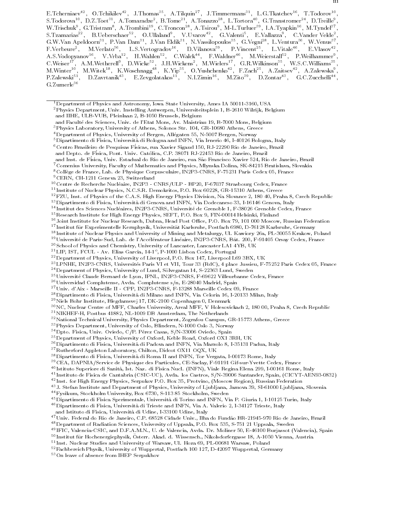E.Tcherniaev<sup>--</sup>, O.Tchikilev<sup>--</sup>, J.Thomas<sup>--</sup>, A.Tilquin<sup>--</sup>, J.Timmermans<sup>--</sup>, L.G.Tkatchev<sup>--</sup>, T.Todorov<sup>--</sup>, S. 10dorova<sup>22</sup>, D.Z. 10et<sup>22</sup>, A. 10maradze<sup>2</sup>, B. 10me<sup>22</sup>, A. 10nazzo<sup>22</sup>, L. 10rtora<sup>22</sup>, G. 1ranstromer<sup>22</sup>, D. 1reille<sup>3</sup>,<br>W.Trischuk<sup>9</sup>, G.Tristram<sup>8</sup>, A.Trombini<sup>19</sup>, C.Troncon<sup>28</sup>, A.Tsirou<sup>9</sup>, M-L.Turluer<sup>39</sup>, I. S.Tzamarias B.Ueberschaer O.Ullaland , V.Uvarov , G.Valenti , E.Vallazza , O.Vander Velde , , G.W.Van Apeldoorn<sup>31</sup>, P.Van Dam<sup>31</sup>, J.Van Eldik<sup>31</sup>, N.Vassilopoulos<sup>35</sup>, G.Vegni<sup>28</sup>, L.Ventura<sup>36</sup>, W.Venus<sup>37</sup> F.Verbeure<sup>2</sup>, M.Verlato<sup>36</sup>, L.S.Vertogradov<sup>16</sup>, D.Vilanova<sup>39</sup>, P.Vincent<sup>25</sup>, L.Vitale<sup>46</sup>, E.Vlasov<sup>42</sup>, A.S.Vodopyanov\*\*, V.Vrba\*\*, H.Wahlen\*\*, U.Walck\*\*, F.Waldner\*\*, M.Weierstall\*\*, P.Weilhammer\*,  $\rm C. Weiser^{17}, \rm A.M. Wetherel<sup>19</sup>, \rm D. Wicke<sup>52</sup>, J.H. Wickens<sup>2</sup>, M. Wielers<sup>17</sup>, G.R. Wilkinson<sup>35</sup>, W.S.C. Williams<sup>35</sup>, M. Winter<sup>10</sup>, M. Wite<sup>18</sup>, K. Woshnagg<sup>48</sup>, K.Yip<sup>35</sup>, O.Yushchenko<sup>42</sup>, F.Zach<sup>25</sup>, A.Zaitsev<sup>42</sup>, A.Zalewska<sup>9</sup>, P.Zalewski<sup>51</sup>, D.Zavrtanik<sup>43</sup>, E$  $\rm G.Zumerle^{36}$ 

- 7Comenius University, Faculty of Mathematics and Physics, Mlynska Dolina, SK-84215 Bratislava, Slovakia 8College de France, Lab. de Physique Corpusculaire, IN2P3-CNRS, F-75231 Paris Cedex 05, France
- 9CERN, CH-1211 Geneva 23, Switzerland

- <sup>11</sup> Institute of Nuclear Physics, N.C.S.R. Demokritos, P.O. Box 60228, GR-15310 Athens, Greece
- 12FZU, Inst. of Physics of the C.A.S. High Energy Physics Division, Na Slovance 2, 180 40, Praha 8, Czech Republic
- 13Dipartimento di Fisica, Universita di Genova and INFN, Via Dodecaneso 33, I-16146 Genova, Italy
- <sup>14</sup> Institut des Sciences Nucleaires, IN2P3-CNRS, Universite de Grenoble 1, F-38026 Grenoble Cedex, France
- $^{15}\rm{Research}$ Institute for High Energy Physics, SEFT, P.O. Box 9, FIN-00014 Helsinki, Finland
- <sup>16</sup>Joint Institute for Nuclear Research, Dubna, Head Post Office, P.O. Box 79, 101 000 Moscow, Russian Federation
- <sup>17</sup> Institut fur Experimentelle Kernphysik, Universitat Karlsruhe, Postfach 6980, D-76128 Karlsruhe, Germany
- <sup>18</sup> Institute of Nuclear Physics and University of Mining and Metalurgy, Ul. Kawiory 26a, PL-30055 Krakow, Poland
- <sup>19</sup>Université de Paris-Sud, Lab. de l'Accélérateur Linéaire, IN2P3-CNRS, Bât. 200, F-91405 Orsay Cedex, France
- 20School of Physics and Chemistry, University of Lancaster, Lancaster LA1 4YB, UK
- <sup>--</sup> LIP, IST, PUUL AV. Elias Garcia, 14-1°, P-1000 Lisboa Codex, Portugal
- 22Department of Physics, University of Liverpool, P.O. Box 147, Liverpool L69 3BX, UK
- 23LPNHE, IN2P3-CNRS, Universites Paris VI et VII, Tour 33 (RdC), 4 place Jussieu, F-75252 Paris Cedex 05, France
- <sup>24</sup> Department of Physics, University of Lund, Sölvegatan 14, S-22363 Lund, Sweden
- 25Universite Claude Bernard de Lyon, IPNL, IN2P3-CNRS, F-69622 Villeurbanne Cedex, France
- 26Universidad Complutense, Avda. Complutense s/n, E-28040 Madrid, Spain
- 27Univ. d'Aix Marseille II CPP, IN2P3-CNRS, F-13288 Marseille Cedex 09, France
- 28Dipartimento di Fisica, Universita di Milano and INFN, Via Celoria 16, I-20133 Milan, Italy
- 29Niels Bohr Institute, Blegdamsvej 17, DK-2100 Copenhagen 0, Denmark
- 30NC, Nuclear Centre of MFF, Charles University, Areal MFF, V Holesovickach 2, 180 00, Praha 8, Czech Republic
- 31NIKHEF-H, Postbus 41882, NL-1009 DB Amsterdam, The Netherlands
- <sup>32</sup> National Technical University, Physics Department, Zografou Campus, GR-15773 Athens, Greece
- 33Physics Department, University of Oslo, Blindern, N-1000 Oslo 3, Norway
- <sup>34</sup> Dpto. Fisica, Univ. Oviedo, C/P. Pérez Casas, S/N-33006 Oviedo, Spain
- 35Department of Physics, University of Oxford, Keble Road, Oxford OX1 3RH, UK
- 36Dipartimento di Fisica, Universita di Padova and INFN, Via Marzolo 8, I-35131 Padua, Italy
- 37Rutherford Appleton Laboratory, Chilton, Didcot OX11 OQX, UK
- 38Dipartimento di Fisica, Universita di Roma II and INFN, Tor Vergata, I-00173 Rome, Italy
- 39CEA, DAPNIA/Service de Physique des Particules, CE-Saclay, F-91191 Gif-sur-Yvette Cedex, France
- <sup>40</sup> Istituto Superiore di Sanita, Ist. Naz. di Fisica Nucl. (INFN), Viale Regina Elena 299, I-00161 Rome, Italy
- <sup>41</sup> Instituto de Fisica de Cantabria (CSIC-UC), Avda. los Castros, S/N-39006 Santander, Spain, (CICYT-AEN93-0832)
- <sup>42</sup> Inst. for High Energy Physics, Serpukov P.O. Box 35, Protvino, (Moscow Region), Russian Federation
- <sup>43</sup> J. Stefan Institute and Department of Physics, University of Ljubljana, Jamova 39, SI-61000 Ljubljana, Slovenia
- 44Fysikum, Stockholm University, Box 6730, S-113 85 Stockholm, Sweden
- 45Dipartimento di Fisica Sperimentale, Universita di Torino and INFN, Via P. Giuria 1, I-10125 Turin, Italy

46Dipartimento di Fisica, Universita di Trieste and INFN, Via A. Valerio 2, I-34127 Trieste, Italy

- 
- 47 Univ. Federal do Rio de Janeiro, C.P. 68528 Cidade Univ., Ilha do Fundão BR-21945-970 Rio de Janeiro, Brazil
- 48Department of Radiation Sciences, University of Uppsala, P.O. Box 535, S-751 21 Uppsala, Sweden
- <sup>49</sup> IFIC, Valencia-CSIC, and D.F.A.M.N., U. de Valencia, Avda. Dr. Moliner 50, E-46100 Burjassot (Valencia), Spain
- <sup>50</sup> Institut fur Hochenergiephysik, Osterr. Ak ad. d. Wissensch., Nikolsdorfergasse 18, A-1050 Vienna, Austria
- <sup>51</sup> Inst. Nuclear Studies and University of Warsaw, Ul. Hoza 69, PL-00681 Warsaw, Poland
- 52Fachbereich Physik, University of Wuppertal, Postfach 100 127, D-42097 Wuppertal, Germany
- 53On leave of absence from IHEP Serpukhov

<sup>&</sup>lt;sup>1</sup>Department of Physics and Astronomy, Iowa State University, Ames IA 50011-3160, USA

<sup>2</sup>Physics Department, Univ. Instelling Antwerpen, Universiteitsplein 1, B-2610 Wilrijk, Belgium and IIHE, ULB-VUB, Pleinlaan 2, B-1050 Brussels, Belgium

and Faculte des Sciences, Univ. de l'Etat Mons, Av. Maistriau 19, B-7000 Mons, Belgium

<sup>3</sup>Physics Laboratory, University of Athens, Solonos Str. 104, GR-10680 Athens, Greece

<sup>&</sup>lt;sup>4</sup>Department of Physics, University of Bergen, Allégaten 55, N-5007 Bergen, Norway

 $^5$ Dipartimento di Fisica, Università di Bologna and INFN, Via Irnerio 46, I-40126 Bologna, Italy

 $^6$ Centro Brasileiro de Pesquisas Físicas, rua Xavier Sigaud 150, RJ-22290 Rio de Janeiro, Brazil

and Depto. de Fisica, Pont. Univ. Catolica, C.P. 38071 RJ-22453 Rio de Janeiro, Brazil

and Inst. de Física, Univ. Estadual do Rio de Janeiro, rua São Francisco Xavier 524, Rio de Janeiro, Brazil

<sup>10</sup>Centre de Recherche Nucleaire, IN2P3 - CNRS/ULP - BP20, F-67037 Strasbourg Cedex, France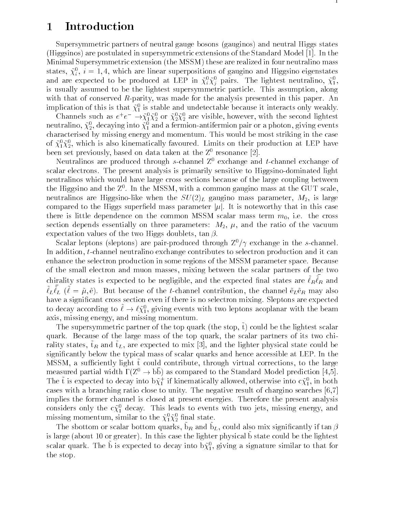## 1 Introduction

Supersymmetric partners of neutral gauge bosons (gauginos) and neutral Higgs states (Higgsinos) are postulated in supersymmetric extensions of the Standard Model [1]. In the Minimal Supersymmetric extension (the MSSM) these are realized in four neutralino mass states,  $\chi_i^*,~i=1,4,$  which are linear superpositions of gaugino and Higgsino eigenstates and are expected to be produced at LEP in  $\chi_i^*\chi_j^-$  pairs. The lignest neutralino,  $\chi_1^*,$ is usually assumed to be the lightest supersymmetric particle. This assumption, along with that of conserved R-parity, was made for the analysis presented in this paper. An implication of this is that  $\chi_1^*$  is stable and undetectable because it interacts only weakly.

Channels such as  $e^+e^- \rightarrow \chi_1^* \chi_2^*$  or  $\chi_2^* \chi_2^*$  are visible, however, with the second lightest neutralino,  $\chi_2$ , decaying into  $\chi_1$  and a fermion-antifermion pair or a photon, giving events characterised by missing energy and momentum. This would be most striking in the case of  $\chi_1 \chi_2$ , which is also kinematically favoured. Limits on their production at LEP have been set previously, based on data taken at the  $Z^0$  resonance [2].

Neutralinos are produced through s-channel  $Z^0$  exchange and t-channel exchange of scalar electrons. The present analysis is primarily sensitive to Higgsino-dominated light neutralinos which would have large cross sections because of the large coupling between the Higgsino and the  $Z$  . In the MSSM, with a common gaugino mass at the GUT scale,  $\blacksquare$ neutralinos are Higgsino-like when the  $SU(2)_L$  gaugino mass parameter,  $M_2$ , is large compared to the Higgs superfield mass parameter  $|\mu|$ . It is noteworthy that in this case there is little dependence on the common MSSM scalar mass term  $m_0$ , i.e. the cross section depends essentially on three parameters:  $M_2$ ,  $\mu$ , and the ratio of the vacuum expectation values of the two Higgs doublets,  $\tan \beta$ .

Scalar leptons (sleptons) are pair-produced through  $Z^0/\gamma$  exchange in the s-channel. In addition, t-channel neutralino exchange contributes to selectron production and it can enhance the selectron production in some regions of the MSSM parameter space. Because of the small electron and muon masses, mixing between the scalar partners of the two chirality states is expected to be negligible, and the expected final states are  $\ell_R \ell_R$  and  $\ell_L \ell_L$  ( $\ell = \mu, e$ ). But because of the t-channel contribution, the channel e<sub>L</sub>e<sub>R</sub> may also have a signicant cross section even if there is no selectron mixing. Sleptons are expected to decay according to  $\ell \to \ell \chi_1$ , giving events with two leptons acopianar with the beam axis, missing energy, and missing momentum.

The supersymmetric partner of the top quark (the stop,  $\tilde{t}$ ) could be the lightest scalar quark. Because of the large mass of the top quark, the scalar partners of its two chirality states,  $\tilde{t}_R$  and  $\tilde{t}_L$ , are expected to mix [3], and the lighter physical state could be signicantly below the typical mass of scalar quarks and hence accessible at LEP. In the MSSM, a sufficiently light  $\tilde{t}$  could contribute, through virtual corrections, to the large measured partial width  $\Gamma(Z^0 \to b\bar{b})$  as compared to the Standard Model prediction [4,5]. The t is expected to decay into b $\chi_1^+$  if kinematically allowed, otherwise into  $c\chi_1^2$ , in both cases with a branching ratio close to unity. The negative result of chargino searches [6,7] implies the former channel is closed at present energies. Therefore the present analysis considers only the  $c\chi_1$  decay. This leads to events with two jets, missing energy, and missing momentum, similar to the  $\chi_1 \chi_2$  illial state.

The spottom of scalar bottom quarks,  $\partial R$  and  $\partial L$ , could also mix significantly if  $\tan \beta$ is large (about 10 or greater). Th this case the lighter physical b state could be the lightest  $\sim$ scalar quark. The b is expected to decay into b $\chi_1,$  giving a signature similar to that for the stop.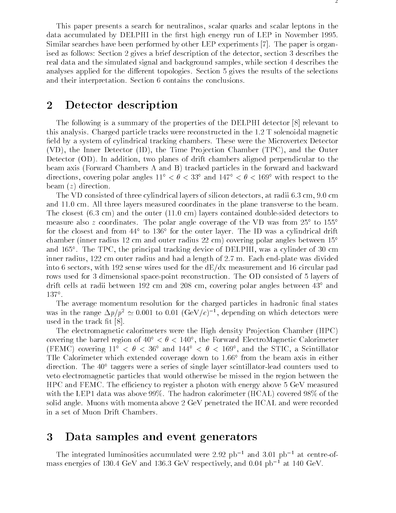This paper presents a search for neutralinos, scalar quarks and scalar leptons in the data accumulated by DELPHI in the first high energy run of LEP in November 1995. Similar searches have been performed by other LEP experiments [7]. The paper is organised as follows: Section 2 gives a brief description of the detector, section 3 describes the real data and the simulated signal and background samples, while section 4 describes the analyses applied for the different topologies. Section 5 gives the results of the selections and their interpretation. Section 6 contains the conclusions.

## 2 Detector description

The following is a summary of the properties of the DELPHI detector [8] relevant to this analysis. Charged particle tracks were reconstructed in the 1.2 T solenoidal magnetic field by a system of cylindrical tracking chambers. These were the Microvertex Detector  $(VD)$ , the Inner Detector  $(ID)$ , the Time Projection Chamber  $(TPC)$ , and the Outer Detector (OD). In addition, two planes of drift chambers aligned perpendicular to the beam axis (Forward Chambers A and B) tracked particles in the forward and backward directions, covering polar angles  $11^{\circ} < \theta < 33^{\circ}$  and  $147^{\circ} < \theta < 169^{\circ}$  with respect to the beam  $(z)$  direction.

The VD consisted of three cylindrical layers of silicon detectors, at radii 6.3 cm, 9.0 cm and 11.0 cm. All three layers measured coordinates in the plane transverse to the beam. The closest (6.3 cm) and the outer (11.0 cm) layers contained double-sided detectors to measure also z coordinates. The polar angle coverage of the VD was from  $25^{\circ}$  to  $155^{\circ}$ for the closest and from 44 to 136 for the outer layer. The ID was a cylindrical drift chamber (inner radius 12 cm and outer radius 22 cm) covering polar angles between 15 and 165 . The TPC, the principal tracking device of DELPHI, was a cylinder of 30 cm inner radius, 122 cm outer radius and had a length of 2.7 m. Each end-plate was divided into 6 sectors, with 192 sense wires used for the  $dE/dx$  measurement and 16 circular pad rows used for 3 dimensional space-point reconstruction. The OD consisted of 5 layers of drift cells at radii between 192 cm and 208 cm, covering polar angles between  $43^{\circ}$  and 137°.

The average momentum resolution for the charged particles in hadronic final states was in the range  $\Delta p / p^2 \simeq 0.001$  to 0.01 (GeV/c) <sup>+</sup>, depending on which detectors were used in the track fit  $[8]$ .

The electromagnetic calorimeters were the High density Projection Chamber (HPC) covering the barrel region of 40  $\,<\,\sigma\,<\,$  140 , the Forward ElectroMagnetic Calorimeter  $\,$ (FEMC) covering 11 << 36 and 144 << 169 , and the STIC, a Scintillator TIle Calorimeter which extended coverage down to 1.66 from the beam axis in either direction. The  $40^{\circ}$  taggers were a series of single layer scintillator-lead counters used to veto electromagnetic particles that would otherwise be missed in the region between the HPC and FEMC. The efficiency to register a photon with energy above 5 GeV measured with the LEP1 data was above 99%. The hadron calorimeter (HCAL) covered 98% of the solid angle. Muons with momenta above 2 GeV penetrated the HCAL and were recorded in a set of Muon Drift Chambers.

## 3 Data samples and event generators

The integrated luminosities accumulated were 2.92  $pb^{-1}$  and 3.01  $pb^{-1}$  at centre-ofmass energies of 130.4 GeV and 136.3 GeV respectively, and  $0.04$  pb<sup>-1</sup> at 140 GeV.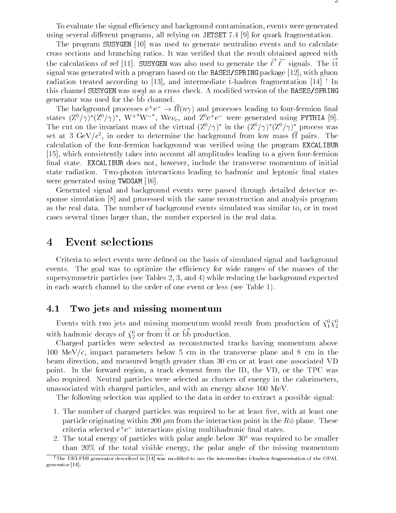To evaluate the signal efficiency and background contamination, events were generated using several different programs, all relying on JETSET 7.4 [9] for quark fragmentation.

The program SUSYGEN [10] was used to generate neutralino events and to calculate cross sections and branching ratios. It was veried that the result obtained agreed with the calculations of ref [11]. SUSYGEN was also used to generate the  $\ell^+\ell^-$  signals. The tt signal was generated with a program based on the BASES/SPRING package [12], with gluon radiation treated according to [13], and intermediate  $\tilde{t}$ -hadron fragmentation [14]  $\dagger$  In this channel SUSYGEN was used as a cross check. A modified version of the BASES/SPRING generator was used for the bb channel.  $\hspace{0.1mm}$ 

The background processes  $e^+e^- \rightarrow \Pi(n\gamma)$  and processes leading to four-fermion final states  $(\mathbb{Z}^{\sigma}/\gamma)^{*}(\mathbb{Z}^{\sigma}/\gamma)^{*}$ , W<sup>+</sup> W<sup>-</sup> , We $\nu_{e}$ , and  $\mathbb{Z}^{\sigma}$ e<sup>+</sup>e<sup>-</sup> were generated using PYTHIA [9]. The cut on the invariant mass of the virtual  $(Z'/\gamma)$  in the  $(Z'/\gamma)$  ( $Z'/\gamma$ ) process was set at  $\beta$  GeV/ $c^*$ , in order to determine the background from low mass if pairs. The calculation of the four-fermion background was veried using the program EXCALIBUR [15], which consistently takes into account all amplitudes leading to a given four-fermion final state. EXCALIBUR does not, however, include the transverse momentum of initial state radiation. Two-photon interactions leading to hadronic and leptonic final states were generated using TWOGAM [16].

Generated signal and background events were passed through detailed detector response simulation [8] and processed with the same reconstruction and analysis program as the real data. The number of background events simulated was similar to, or in most cases several times larger than, the number expected in the real data.

### 4 Event selections

Criteria to select events were defined on the basis of simulated signal and background events. The goal was to optimize the efficiency for wide ranges of the masses of the supersymmetric particles (see Tables 2, 3, and 4) while reducing the background expected in each search channel to the order of one event or less (see Table 1).

#### 4.1Two jets and missing momentum

Events with two jets and missing momentum would result from production of  $\chi_1^{} \chi_2^{}$ with hadronic decays of  $\chi^o_2$  or from  ${\rm tt}$  or bb production.

Charged particles were selected as reconstructed tracks having momentum above 100 MeV/c, impact parameters below 5 cm in the transverse plane and 8 cm in the beam direction, and measured length greater than 30 cm or at least one associated VD point. In the forward region, a track element from the ID, the VD, or the TPC was also required. Neutral particles were selected as clusters of energy in the calorimeters, unassociated with charged particles, and with an energy above 100 MeV.

The following selection was applied to the data in order to extract a possible signal:

- 1. The number of charged particles was required to be at least five, with at least one particle originating within 200  $\mu$ m from the interaction point in the  $R\phi$  plane. These criteria selected e+ e interactions giving multihadronic nal states.
- 2. The total energy of particles with polar angle below  $30^{\circ}$  was required to be smaller than 20% of the total visible energy, the polar angle of the missing momentum

<sup>&</sup>lt;sup>†</sup>The DELPHI generator described in [14] was modified to use the intermediate  $\tilde{t}$ -hadron fragmentation of the OPAL generator [14].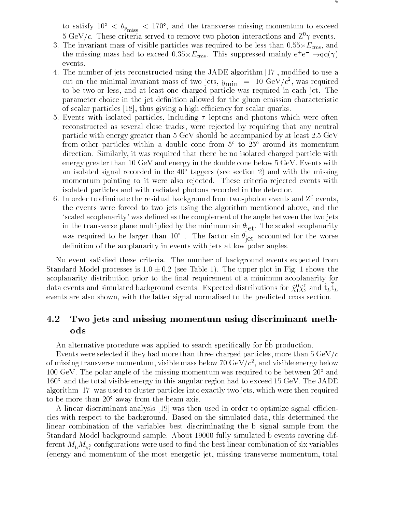to satisfy 10  $\langle v_{p_{\rm miss}}^2 \rangle$  = 170 , and the transverse missing momentum to exceed 5 GeV/c. These criteria served to remove two-photon interactions and  $\mathbb{Z}^0\gamma$  events.

- 3. The invariant mass of visible particles was required to be less than 0.55-Ecms, and the missing mass had to exceed  $0.55\times L_{\text{cms}}$ . This suppressed mainly e+e  $\rightarrow$ qq( $\gamma$ ) events.
- 4. The number of jets reconstructed using the JADE algorithm [17], modified to use a cut on the minimal invariant mass of two jets,  $y_{\min}$  = 10 GeV/c, was required to be two or less, and at least one charged particle was required in each jet. The parameter choice in the jet definition allowed for the gluon emission characteristic of scalar particles [18], thus giving a high efficiency for scalar quarks.
- 5. Events with isolated particles, including  $\tau$  leptons and photons which were often reconstructed as several close tracks, were rejected by requiring that any neutral particle with energy greater than 5 GeV should be accompanied by at least 2.5 GeV from other particles within a double cone from  $5^{\circ}$  to  $25^{\circ}$  around its momentum direction. Similarly, it was required that there be no isolated charged particle with energy greater than 10 GeV and energy in the double cone below 5 GeV. Events with an isolated signal recorded in the  $40^{\circ}$  taggers (see section 2) and with the missing momentum pointing to it were also rejected. These criteria rejected events with isolated particles and with radiated photons recorded in the detector.
- 6. In order to eliminate the residual background from two-photon events and  $Z^0$  events, the events were forced to two jets using the algorithm mentioned above, and the `scaled acoplanarity' was dened as the complement of the angle between the two jets in the transverse plane multiplied by the minimum sin  $\mathbf{f}$  (e), the scaled acoplanarity was required to be larger than 10. The factor  $\sin\theta_{\rm jet}$  accounted for the worse definition of the acoplanarity in events with jets at low polar angles.

No event satisfied these criteria. The number of background events expected from Standard Model processes is  $1.0 \pm 0.2$  (see Table 1). The upper plot in Fig. 1 shows the acoplanarity distribution prior to the final requirement of a minimum acoplanarity for data events and simulated background events. Expected distributions for  $\chi_1^* \chi_2^*$  and  $\tau_L \tau_L$ events are also shown, with the latter signal normalised to the predicted cross section.

### 4.2 Two jets and missing momentum using discriminant methods

An alternative procedure was applied to search specifically for bb production.

Events were selected if they had more than three charged particles, more than  $5 \text{ GeV}/c$ of missing transverse momentum, visible mass below 70 GeV/ $c^{\perp}$ , and visible energy below 100 GeV. The polar angle of the missing momentum was required to be between  $20^{\circ}$  and  $160^{\circ}$  and the total visible energy in this angular region had to exceed 15 GeV. The JADE algorithm [17] was used to cluster particles into exactly two jets, which were then required to be more than  $20^{\circ}$  away from the beam axis.

A linear discriminant analysis  $[19]$  was then used in order to optimize signal efficiencies with respect to the background. Based on the simulated data, this determined the linear combination of the variables best discriminating the b signal sample from the ptanuaru mouer background sample. About 19000 funy simulated b events covering un- $\frac{1}{2}$  compared is were used to met the best linear combination of six variables (energy and momentum of the most energetic jet, missing transverse momentum, total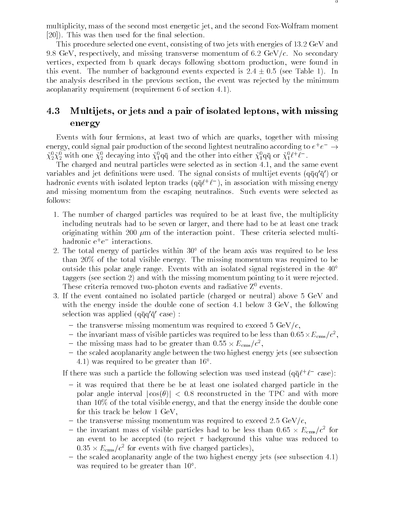multiplicity, mass of the second most energetic jet, and the second Fox-Wolfram moment  $[20]$ ). This was then used for the final selection.

This procedure selected one event, consisting of two jets with energies of 13.2 GeV and 9.8 GeV, respectively, and missing transverse momentum of 6.2 GeV/c. No secondary vertices, expected from b quark decays following sbottom production, were found in this event. The number of background events expected is  $2.4 \pm 0.5$  (see Table 1). In the analysis described in the previous section, the event was rejected by the minimum acoplanarity requirement (requirement 6 of section 4.1).

### 4.3 Multijets, or jets and a pair of isolated leptons, with missing energy

Events with four fermions, at least two of which are quarks, together with missing energy, could signal pair production of the second lightest neutralino according to  $e^+e^-\to$  $\chi_2^2 \chi_2^2$  with one  $\chi_2^2$  decaying into  $\chi_1^2$ dq and the other into either  $\chi_1^2$ dq or  $\chi_1^2 \ell^+\ell^-$  .

The charged and neutral particles were selected as in section 4.1, and the same event variables and jet denitions were used. The signal consists of multijet events (qqq0q 0) or  $\max$  madronic events with isolated lepton tracks (qq $\ell^+\ell^-$  ), in association with missing energy and missing momentum from the escaping neutralinos. Such events were selected as follows:

- 1. The number of charged particles was required to be at least five, the multiplicity including neutrals had to be seven or larger, and there had to be at least one track originating within 200  $\mu$ m of the interaction point. These criteria selected multihadronic e+ e interactions.
- 2. The total energy of particles within  $30^{\circ}$  of the beam axis was required to be less than 20% of the total visible energy. The missing momentum was required to be outside this polar angle range. Events with an isolated signal registered in the 40 taggers (see section 2) and with the missing momentum pointing to it were rejected. These criteria removed two-photon events and radiative  $Z^0$  events.
- 3. If the event contained no isolated particle (charged or neutral) above 5 GeV and with the energy inside the double cone of section 4.1 below 3 GeV, the following selection was applied  $(q\bar{q}q'\bar{q}'$  case) :
	- the transverse missing momentum was required to exceed 5 GeV/ $c$ ,
	- $-$  the invariant mass of visible particles was required to be less than 0.05  $\times$   $E_{\rm cms}/C$  ,  $-$
	- $-$  the missing mass had to be greater than 0.55  $\times$   $E_{\rm cms}/c^2,$
	- { the scaled acoplanarity angle between the two highest energy jets (see subsection 4.1) was required to be greater than 16 .

If there was such a particle the following selection was used instead  $({\rm q}\alpha\ell^+\ell^-$  case):

- $-$  it was required that there be be at least one isolated charged particle in the polar angle interval  $|\cos(\theta)| < 0.8$  reconstructed in the TPC and with more than 10% of the total visible energy, and that the energy inside the double cone for this track be below 1 GeV,
- the transverse missing momentum was required to exceed 2.5 GeV/c,
- $-$  the invariant mass of visible particles had to be less than 0.05  $\times$   $E_{\rm cms}/c$  for an event to be accepted (to reject  $\tau$  background this value was reduced to  $0.55 \times E_{\rm cms}/c$  for events with live charged particles),
- $-$  the scaled acoplanarity angle of the two highest energy jets (see subsection 4.1) was required to be greater than 10 .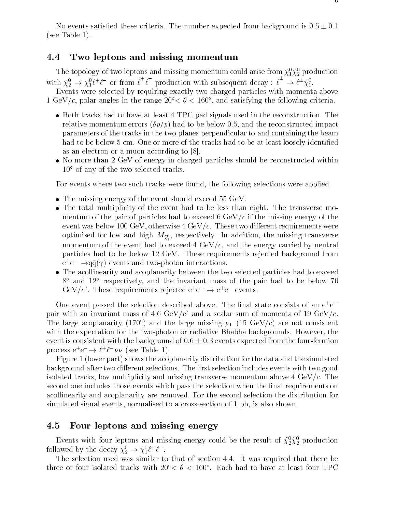No events satisfied these criteria. The number expected from background is  $0.5 \pm 0.1$ (see Table 1).

#### 4.4Two leptons and missing momentum

The topology of two leptons and missing momentum could arise from  $\chi_1 \chi_2$  production with  $\tilde{\chi}^0_2 \to \tilde{\chi}^0_1 \ell^+ \ell^-$  or from  $\ell^+ \ell^-$  production with subsequent decay :  $\ell^- \to \ell^{\pm} \tilde{\chi}^0_1$ .

 $E = \{A, \ldots, A\}$ 1 GeV/c, polar angles in the range 20  $\leq \sigma \leq$  100 , and satisfying the following criteria.

- Both tracks had to have at least 4 TPC pad signals used in the reconstruction. The relative momentum errors  $(\delta p/p)$  had to be below 0.5, and the reconstructed impact parameters of the tracks in the two planes perpendicular to and containing the beam had to be below 5 cm. One or more of the tracks had to be at least loosely identified as an electron or a muon according to [8].
- No more than 2 GeV of energy in charged particles should be reconstructed within  $10^{\circ}$  of any of the two selected tracks.

For events where two such tracks were found, the following selections were applied.

- The missing energy of the event should exceed 55 GeV.
- The total multiplicity of the event had to be less than eight. The transverse momentum of the pair of particles had to exceed 6  $GeV/c$  if the missing energy of the event was below 100 GeV, otherwise  $4 \text{ GeV}/c$ . These two different requirements were optimised for low and high M~0 , respectively. In addition, the missing transverse <sup>1</sup> momentum of the event had to exceed 4  $GeV/c$ , and the energy carried by neutral particles had to be below 12 GeV. These requirements rejected background from  $e^+e^- \rightarrow$ qq( $\gamma$ ) events and two-photon interactions.
- The acollinearity and acoplanarity between the two selected particles had to exceed  $8^{\circ}$  and  $12^{\circ}$  respectively, and the invariant mass of the pair had to be below 70 GeV/c<sup>-</sup>. These requirements rejected e+e  $\rightarrow$  e+e events.

One event passed the selection described above. The nal state consists of an e+ e pair with an invariant mass of 4.6 GeV/ $c^2$  and a scalar sum of momenta of 19 GeV/c. The large acoplanarity (170°) and the large missing  $p_T$  (15 GeV/c) are not consistent with the expectation for the two-photon or radiative Bhabha backgrounds. However, the event is consistent with the background of  $0.6 \pm 0.3$  events expected from the four-fermion process e e  $\rightarrow \ell^+ \ell^- \nu \nu$  (see Table 1).

Figure 1 (lower part) shows the acoplanarity distribution for the data and the simulated background after two different selections. The first selection includes events with two good isolated tracks, low multiplicity and missing transverse momentum above  $4 \text{ GeV}/c$ . The second one includes those events which pass the selection when the final requirements on acollinearity and acoplanarity are removed. For the second selection the distribution for simulated signal events, normalised to a cross-section of 1 pb, is also shown.

#### 4.5Four leptons and missing energy

Events with four leptons and missing energy could be the result of  $\chi_2^2\chi_2^2$  production followed by the decay  $\chi_2^+ \to \chi_1^+ \ell^+ \ell^-$ .

The selection used was similar to that of section 4.4. It was required that there be three or four isolated tracks with  $20 < \theta < 100$  . Each had to have at least four TPC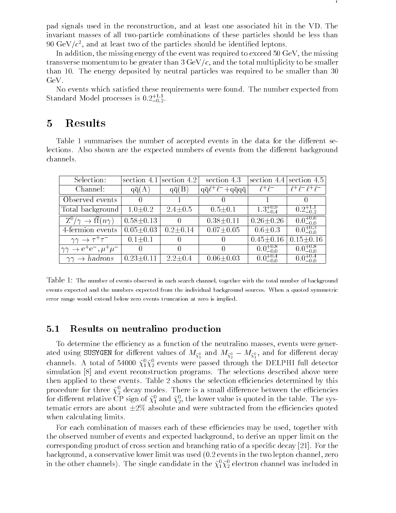pad signals used in the reconstruction, and at least one associated hit in the VD. The invariant masses of all two-particle combinations of these particles should be less than yo  $\alpha$ ev/ $c$  , and at least two of the particles should be identified leptons.

In addition, the missing energy of the event was required to exceed 50 GeV, the missing transverse momentum to be greater than 3 GeV/c, and the total multiplicity to be smaller than 10. The energy deposited by neutral particles was required to be smaller than 30 GeV.

No events which satised these requirements were found. The number expected from Standard Model processes is  $0.2^{+1.1}_{-0.2}.$ 

#### **Results**  $\overline{5}$

Table 1 summarises the number of accepted events in the data for the different selections. Also shown are the expected numbers of events from the different background channels.

| Selection:                                     |                            | section 4.1 section 4.2 | section 4.3                             |                     | section 4.4 section 4.5    |
|------------------------------------------------|----------------------------|-------------------------|-----------------------------------------|---------------------|----------------------------|
| Channel:                                       | $q\bar{q}(A)$              | $q\bar{q}(B)$           | $q\bar{q}\ell^+\ell^-+q\bar{q}q\bar{q}$ | $\ell^+\ell^-$      | $\ell^+\ell^-\ell^+\ell^-$ |
| Observed events                                |                            |                         |                                         |                     |                            |
| Total background                               | $1.0 \pm 0.2$              | $2.4 \pm 0.5$           | $0.5 \pm 0.1$                           | $1.3^{+0.9}_{-0.4}$ | $0.2^{+1.1}_{-0.2}$        |
| $Z^0/\gamma \to \mathrm{ff}(n\gamma)$          | $0.58 \pm 0.13$            | -0                      | $0.38 \pm 0.11$                         | $0.26 \pm 0.26$     | $0.0^{+0.6}_{-0.0}$        |
| 4-fermion events                               | $\overline{0.05 \pm 0.03}$ | $0.2 \pm 0.14$          | $\sqrt{0.07} \pm 0.05$                  | $0.6 + 0.3$         | $0.0^{+0.3}_{-0.0}$        |
| $\gamma\gamma \to \tau^+\tau^-$                | $0.1 \pm 0.1$              |                         |                                         | $0.45 \pm 0.16$     | $0.15 \pm 0.16$            |
| $\gamma \gamma \rightarrow e^+e^-, \mu^+\mu^-$ |                            | $\theta$                | $\cup$                                  | $0.0^{+0.8}_{-0.0}$ | $0.0^{+0.8}_{-0.0}$        |
| $\gamma\gamma \rightarrow hadrons$             | $0.23 \pm 0.11$            | $2.2 \pm 0.4$           | $0.06 \pm 0.03$                         | $0.0^{+0.4}_{-0.0}$ | $0.0^{+0.4}_{-0.0}$        |

Table 1: The number of events observed in each search channel, together with the total number of background events expected and the numbers expected from the individual background sources. When a quoted symmetric error range would extend below zero events truncation at zero is implied.

#### 5.1Results on neutralino production

To determine the efficiency as a function of the neutralino masses, events were generated using SUSYGEN for direction values of  $M_{\chi_1^0}$  and  $M_{\chi_2^0}$  and for dimersion decay channels. A total of 54000  $\chi_1 \chi_2$  events were passed through the DELPHI full detector simulation [8] and event reconstruction programs. The selections described above were then applied to these events. Table 2 shows the selection efficiencies determined by this procedure for three  $\chi_2^{}$  decay modes. There is a small difference between the efficiencies for different relative  $\cup$ P sign of  $\chi_1^*$  and  $\chi_2^*,$  the lower value is quoted in the table. The systematic errors are about  $\pm 2\%$  absolute and were subtracted from the efficiencies quoted when calculating limits.

For each combination of masses each of these efficiencies may be used, together with the observed number of events and expected background, to derive an upper limit on the corresponding product of cross section and branching ratio of a specic decay [21]. For the background, a conservative lower limit was used (0.2 events in the two lepton channel, zero in the other channels). The single candidate in the  $\chi_1^*\chi_2^{}$  electron channel was included in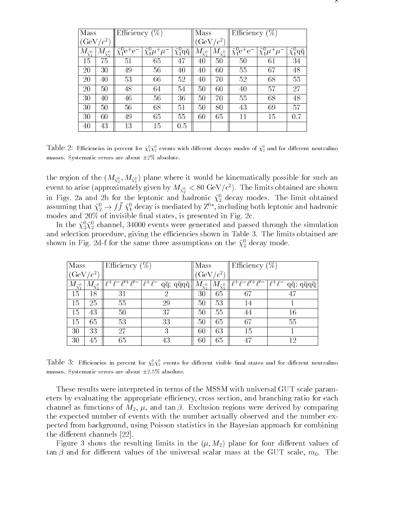| Mass                                       |                    | Efficiency $(\%)$                      |                                         |                       | Mass                       |                    | Efficiency $(\% )$                      |                                         |                                |  |
|--------------------------------------------|--------------------|----------------------------------------|-----------------------------------------|-----------------------|----------------------------|--------------------|-----------------------------------------|-----------------------------------------|--------------------------------|--|
| $(GeV/c^2)$                                |                    | $\sqrt{c^2}$<br>GeV                    |                                         |                       |                            |                    |                                         |                                         |                                |  |
| ${}^{M}\tilde{\chi}^{\text{o}}_{\text{1}}$ | $\tilde{\chi}^0_2$ | $\tilde{\chi}^{0}_{1} \rm{e}^+ \rm{e}$ | ΜU<br>$\tilde{\chi}_1^0 \mu^+$<br>$\mu$ | $\tilde{\chi}^0_1$ qq | $M_{\tilde{\chi}^{0}_{1}}$ | $\tilde{\chi}^0_2$ | $\tilde{\chi}^{0}_{1}$ e <sup>+</sup> e | $\tilde{\chi}^0_1 \mu^+ \overline{\mu}$ | $\tilde{\chi}^0_1$ q $\bar{q}$ |  |
| 15                                         | 75                 | 51                                     | 65                                      | 47                    | 40                         | 50                 | 50                                      | 61                                      | 34                             |  |
| 20                                         | 30                 | 49                                     | 56                                      | 40                    | 40                         | 60                 | 55                                      | 67                                      | 48                             |  |
| 20                                         | 40                 | 53                                     | 66                                      | 52                    | 40                         | 70                 | 52                                      | 68                                      | 55                             |  |
| 20                                         | 50                 | 48                                     | 64                                      | 54                    | 50                         | 60                 | 40                                      | 57                                      | 27                             |  |
| 30                                         | 40                 | 46                                     | 56                                      | 36                    | 50                         | 70                 | 55                                      | 68                                      | 48                             |  |
| 30                                         | 50                 | 56                                     | 68                                      | 51                    | 50                         | 80                 | 43                                      | 69                                      | 57                             |  |
| 30                                         | 60                 | 49                                     | 65                                      | 55                    | 60                         | 65                 | 11                                      | 15                                      | 0.7                            |  |
| 40                                         | 43                 | 13                                     | 15                                      | 0.5                   |                            |                    |                                         |                                         |                                |  |

Table 2: Emclencies in percent for  $\chi_1^* \chi_2^*$  events with different decays modes of  $\chi_2^*$  and for different neutralino masses. Systematic errors are about  $\pm 2\%$  absolute.

the region of the  $(M_{\chi_2^0}, M_{\chi_1^0})$  plane where it would be inherifatedly possible for such an event to arise (approximately given by  $m_{\tilde{\chi}^0_2} <$  80 GeV/c ). The limits obtained are shown in Figs. 2a and 2b for the leptonic and hadronic  $\chi_2^{}$  decay modes. The limit obtained assuming that  $\chi_2^* \to f f \chi_1^*$  decay is mediated by  $Z^*$  , including both leptonic and hadronic modes and  $20\%$  of invisible final states, is presented in Fig. 2c.

In the  $\chi_2^2\chi_2^2$  channel, 34000 events were generated and passed through the simulation and selection procedure, giving the efficiencies shown in Table 3. The limits obtained are shown in Fig. 2d-f for the same three assumptions on the  $\chi_2^{\scriptscriptstyle +}$  decay mode.

| Mass                 | Efficiency $(\%)$      |    |                                                                                                                                               | Mass   |    | Efficiency $(\%)$                                                             |                                 |  |
|----------------------|------------------------|----|-----------------------------------------------------------------------------------------------------------------------------------------------|--------|----|-------------------------------------------------------------------------------|---------------------------------|--|
| $(\mathrm{GeV}/c^2)$ |                        |    | $\rm{GeV}/c^2$                                                                                                                                |        |    |                                                                               |                                 |  |
|                      | $M_{\tilde{\chi}^0_2}$ |    | $\lceil \ell^+ \ell^- \ell'^+ \ell'^- \rceil \ell^+ \ell^- \neq \bar{q}; \, \bar{q} \bar{q} q \bar{q} \rceil \lceil M_{\tilde{X}_1^0} \rceil$ |        |    | $M_{\tilde{\chi}_{2}^{0}}\ \ell^+\overline{\ell^-\ell'^+\ell'^-\ell^+\ell^-}$ | $q\bar{q}$ ; $q\bar{q}q\bar{q}$ |  |
| 15                   | 18                     | 31 | റ                                                                                                                                             | $30\,$ | 65 | 67                                                                            |                                 |  |
| 15                   | 25                     | 55 | 29                                                                                                                                            | 50     | 53 | 14                                                                            |                                 |  |
| 15                   | 43                     | 50 | 37                                                                                                                                            | 50     | 55 | 44                                                                            | 16                              |  |
| 15                   | 65                     | 53 | 33                                                                                                                                            | 50     | 65 | 67                                                                            | 55                              |  |
| 30                   | 33                     | 27 | 3                                                                                                                                             | 60     | 63 | 15                                                                            |                                 |  |
| 30                   | 45                     | 65 | 43                                                                                                                                            | 60     | 65 | 47                                                                            | 12                              |  |

Table  $\beta$ : Efficiencies in percent for  $\chi_2^*\chi_2^*$  events for different visible final states and for different neutralino masses. Systematic errors are about  $\pm 2.5\%$  absolute.

These results were interpreted in terms of the MSSM with universal GUT scale parameters by evaluating the appropriate efficiency, cross section, and branching ratio for each channel as functions of  $M_2$ ,  $\mu$ , and  $\tan \beta$ . Exclusion regions were derived by comparing the expected number of events with the number actually observed and the number expected from background, using Poisson statistics in the Bayesian approach for combining the different channels  $[22]$ .

Figure 3 shows the resulting limits in the  $(\mu, M_2)$  plane for four different values of  $\tan \beta$  and for different values of the universal scalar mass at the GUT scale,  $m_0$ . The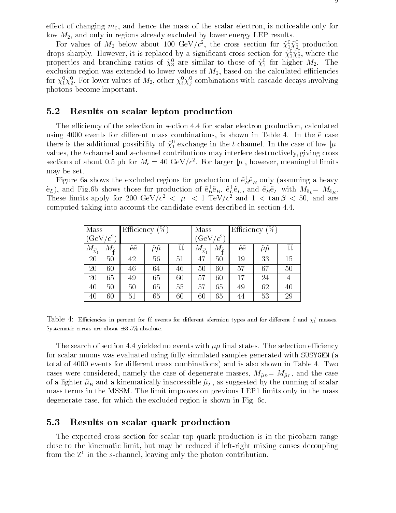effect of changing  $m_0$ , and hence the mass of the scalar electron, is noticeable only for low  $M_2$ , and only in regions already excluded by lower energy LEP results.

For values of  $M_2$  below about 100 GeV/c, the cross section for  $\chi_1 \chi_2$  production drops sharply. However, it is replaced by a significant cross section for  $\chi_1 \chi_3,$  where the properties and branching ratios of  $\chi_3$  are similar to those of  $\chi_2$  for higher  $m_2$ . The exclusion region was extended to lower values of  $M_2$ , based on the calculated efficiencies for  $\chi_1 \chi_2$ . For lower values of  $m_2$ , other  $\chi_i \chi_j$  combinations with cascade decays involving photons become important.

#### 5.2Results on scalar lepton production

The efficiency of the selection in section 4.4 for scalar electron production, calculated using 4000 events for different mass combinations, is shown in Table 4. In the  $\tilde{e}$  case there is the additional possibility of  $\chi_1$  exchange in the t-channel. In the case of low  $|\mu|$ values, the t-channel and s-channel contributions may interfere destructively, giving cross sections of about 0.5 pb for  $m_{\tilde{\text{e}}} = 40\,\,{\text{GeV}}/c$  . For larger  $|\mu|,$  nowever, meaningful limits may be set.

Figure ba shows the excluded regions for production of  $\mathrm{e}_R^{}\mathrm{e}_R^{}$  only (assuming a heavy  $e_L$ ), and Fig.6b shows those for production of  $e_R^i e_R$ ,  $e_L^i e_L$ , and  $e_R^i e_L^c$  with  $M\tilde{e}_L=M\tilde{e}_R$ . These limits apply for 200 GeV/c<sup>2</sup>  $\lt$   $|\mu| \lt 1$  TeV/c<sup>2</sup> and  $1 \lt$  tan  $\rho \lt 30$ , and are computed taking into account the candidate event described in section 4.4.

| Mass                   |              | Efficiency $(\%)$   |                         |                     | Mass                   |                           | Efficiency $(\%)$   |                           |                     |
|------------------------|--------------|---------------------|-------------------------|---------------------|------------------------|---------------------------|---------------------|---------------------------|---------------------|
| (GeV                   | $c^2$        | $c^2$<br><b>GeV</b> |                         |                     |                        |                           |                     |                           |                     |
| $M_{\tilde{\chi}^0_1}$ | $M\tilde{z}$ | $\sim$ $\sim$<br>ee | $\sim~\sim$<br>$\mu\mu$ | $\sim$ $\sim$<br>tt | $M_{\tilde{\chi}^0_1}$ | $M_{\tilde{\varepsilon}}$ | $\sim$ $\sim$<br>ee | $\sim$ $\sim$<br>$\mu\mu$ | $\sim$ $\sim$<br>tt |
| 20                     | 50           | 42                  | 56                      | 51                  | 47                     | 50                        | 19                  | 33                        | 15                  |
| 20                     | 60           | 46                  | 64                      | 46                  | 50                     | 60                        | 57                  | 67                        | 50                  |
| 20                     | 65           | 49                  | 65                      | 60                  | 57                     | 60                        | 17                  | 24                        |                     |
| 40                     | 50           | 50                  | 65                      | 55                  | 57                     | 65                        | 49                  | 62                        | 40                  |
| 40                     | 60           | 51                  | 65                      | 60                  | 60                     | 65                        | 44                  | 53                        | 29                  |

Table 4: Efficiencies in percent for 11 events for different sfermion types and for different 1 and  $\chi_1^*$  masses. Systematic errors are about  $\pm 3.5\%$  absolute.

The search of section 4.4 yielded no events with  $\mu\mu$  final states. The selection efficiency for scalar muons was evaluated using fully simulated samples generated with SUSYGEN (a total of 4000 events for different mass combinations) and is also shown in Table 4. Two cases were considered, namely the case of degenerate masses,  $M_{\tilde{\mu}_R} = M_{\tilde{\mu}_L}$ , and the case of a lighter  $\tilde{\mu}_R$  and a kinematically inaccessible  $\tilde{\mu}_L$ , as suggested by the running of scalar mass terms in the MSSM. The limit improves on previous LEP1 limits only in the mass degenerate case, for which the excluded region is shown in Fig. 6c.

#### 5.3Results on scalar quark production

The expected cross section for scalar top quark production is in the picobarn range close to the kinematic limit, but may be reduced if left-right mixing causes decoupling from the Z0 in the s-channel, leaving only the photon contribution.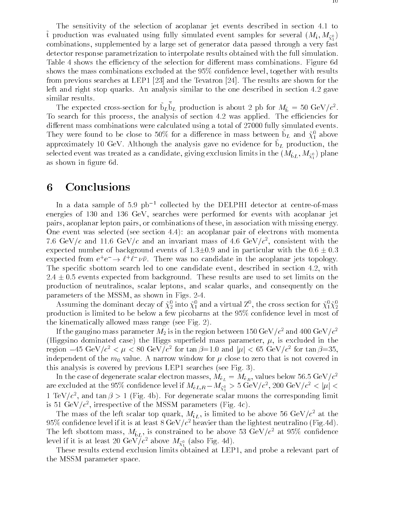The sensitivity of the selection of acoplanar jet events described in section 4.1 to  $\frac{1}{2}$  production was evaluated using fully simulated event samples for several  $\frac{(M_t, M_{\tilde{\chi}_1^0})}{(M_t, M_{\tilde{\chi}_1^0})}$ combinations, supplemented by a large set of generator data passed through a very fast detector response parametrization to interpolate results obtained with the full simulation. Table 4 shows the efficiency of the selection for different mass combinations. Figure 6d shows the mass combinations excluded at the  $95\%$  confidence level, together with results from previous searches at LEP1 [23] and the Tevatron [24]. The results are shown for the left and right stop quarks. An analysis similar to the one described in section 4.2 gave similar results.

The expected cross-section for  $b_L b_L$  production is about 2 pb for  $M_{\tilde{b}} = 50 \text{ GeV}/c^2$ . To search for this process, the analysis of section 4.2 was applied. The efficiencies for different mass combinations were calculated using a total of 27000 fully simulated events. They were found to be close to  $30\%$  for a difference in mass between  $b<sub>L</sub>$  and  $\chi_1^*$  above approximately to GeV. Although the analysis gave no evidence for  $\nu_L$  production, the selected event was treated as a candidate,  $S^{111}S$  enclusion limits in the  $(^{11}b_L)^{11} \chi^2_1$ ; plane as shown in figure 6d.

### 6 Conclusions

In a data sample of 5.9  $pb^{-1}$  collected by the DELPHI detector at centre-of-mass energies of 130 and 136 GeV, searches were performed for events with acoplanar jet pairs, acoplanar lepton pairs, or combinations of these, in association with missing energy. One event was selected (see section 4.4): an acoplanar pair of electrons with momenta (.0 GeV/c and 11.0 GeV/c and an invariant mass of 4.0 GeV/c), consistent with the expected number of background events of  $1.3\pm0.9$  and in particular with the  $0.6\pm0.3$ expected from e+e  $\rightarrow$   $\ell^+\ell^- \nu\bar{\nu}$ . There was no candidate in the acoplanar jets topology. The specific sbottom search led to one candidate event, described in section 4.2, with  $2.4 \pm 0.5$  events expected from background. These results are used to set limits on the production of neutralinos, scalar leptons, and scalar quarks, and consequently on the parameters of the MSSM, as shown in Figs. 2-4.

Assuming the dominant decay of  $\chi_2^{}$  into  $\chi_1^{}$  and a virtual  $L^7,$  the cross section for  $\chi_1^{} \chi_2^{}$   $$ production is limited to be below a few picobarns at the  $95\%$  confidence level in most of the kinematically allowed mass range (see Fig. 2).

If the gaugino mass parameter  $M_2$  is in the region between 150 GeV/ $c^2$  and 400 GeV/ $c^2$ (Higgsino dominated case) the Higgs superfield mass parameter,  $\mu$ , is excluded in the region  $-45$  GeV/ $c<\mu<\infty$  GeV/c for tan  $\rho=$ 1.0 and  $|\mu|<$  65 GeV/c for tan  $\rho=$ 55, independent of the  $m_0$  value. A narrow window for  $\mu$  close to zero that is not covered in this analysis is covered by previous LEP1 searches (see Fig. 3).

In the case of degenerate scalar electron masses,  $m_{\tilde{e}_L}=m_{\tilde{e}_R},$  values below 56.5 GeV  $/c$ are excluded at the 95% confidence level if  $M\tilde{e}_{L,R}-M_{\tilde{\chi}^0_1}>3\,\,{\rm GeV}/c_\parallel$ , 200  $\,\,{\rm GeV}/c_\parallel<|\mu|<$ 1 TeV/c , and tan  $\rho > 1$  (Fig. 4b). For degenerate scalar muons the corresponding limit is 51 GeV/c, irrespective of the MSSM parameters (Fig. 4c).

The mass of the left scalar top quark,  $M^{2}_{LL}$ , is limited to be above 56 GeV/c at the 95% confidence level if it is at least 8 GeV/ $c^2$  heavier than the lightest neutralino (Fig.4d). The left sbottom mass,  $M_{\tilde{b}L}$ , is constrained to be above 53 GeV/ $c^2$  at 95% confidence level if it is at least 20 GeV  $/c^-$  above  $M_{\tilde{\chi}^0_1}$  (also Fig. 4d).

These results extend exclusion limits obtained at LEP1, and probe a relevant part of the MSSM parameter space.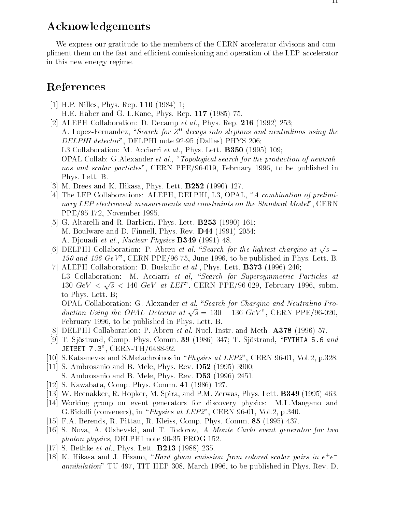## Acknowledgements

We express our gratitude to the members of the CERN accelerator divisons and compliment them on the fast and efficient comissioning and operation of the LEP accelerator in this new energy regime.

### References

- [1] H.P. Nilles, Phys. Rep. 110 (1984) 1; H.E. Haber and G. L.Kane, Phys. Rep. 117 (1985) 75.
- [2] ALEPH Collaboration: D. Decamp et al., Phys. Rep. 216 (1992) 253; A. Lopez-Fernandez, "Search for  $Z^0$  decays into sleptons and neutralinos using the DELPHI detector", DELPHI note 92-95 (Dallas) PHYS 206; L3 Collaboration: M. Acciarri et al., Phys. Lett.  $B350$  (1995) 109;  $OPAL$  Collab: G.Alexander *et al.*, "*Topological search for the production of neutrali*nos and scalar particles", CERN PPE/96-019, February 1996, to be published in Phys. Lett. B.
- [3] M. Drees and K. Hikasa, Phys. Lett. B252 (1990) 127.
- [4] The LEP Collaborations: ALEPH, DELPHI, L3, OPAL, "A combination of preliminary LEP electroweak measurements and constraints on the Standard Model'',  $CERN$ PPE/95-172, November 1995.
- [5] G. Altarelli and R. Barbieri, Phys. Lett. **B253** (1990) 161; M. Boulware and D. Finnell, Phys. Rev. D44 (1991) 2054; A. Djouadi et al., Nuclear Physics **B349** (1991) 48.
- [6] DELPHI Collaboration: P. Abreu *et al.* "Search for the lightest chargino at  $\sqrt{s}$  = 130 and 136  $GeV$ , CERN PPE/96-75, June 1996, to be published in Phys. Lett. B.
- [7] ALEPH Collaboration: D. Buskulic *et al.*, Phys. Lett. **B373** (1996) 246; L3 Collaboration: M. Acciarri et al, "Search for Supersymmetric Particles at 130  $GeV < \sqrt{s} < 140 \text{ GeV}$  at LEP", CERN PPE/96-029, February 1996, subm. to Phys. Lett. B; OPAL Collaboration: G. Alexander et al, "Search for Chargino and Neutralino Pro-

duction Using the OPAL Detector at  $\sqrt{s} = 130 - 136$  GeV", CERN PPE/96-020, February 1996, to be published in Phys. Lett. B.

- [8] DELPHI Collaboration: P. Abreu *et al.* Nucl. Instr. and Meth.  $A378$  (1996) 57.
- [9] T. Sjöstrand, Comp. Phys. Comm. **39** (1986) 347; T. Sjöstrand, "PYTHIA 5.6 and JETSET 7.3", CERN-TH/6488-92.
- [10] S.Katsanevas and S.Melachroinos in \Physics at LEP2", CERN 96-01, Vol.2, p.328.
- [11] S. Ambrosanio and B. Mele, Phys. Rev. D52 (1995) 3900; S. Ambrosanio and B. Mele, Phys. Rev.  $D53$  (1996) 2451.
- [12] S. Kawabata, Comp. Phys. Comm. 41 (1986) 127.
- [13] W. Beenakker, R. Hopker, M. Spira, and P.M. Zerwas, Phys. Lett. B349 (1995) 463.
- [14] Working group on event generators for discovery physics: M.L.Mangano and G. Ridolfi (conveners), in "*Physics at LEP2*", CERN 96-01, Vol.2, p.340.
- [15] F.A. Berends, R. Pittau, R. Kleiss, Comp. Phys. Comm. 85 (1995) 437.
- [16] S. Nova, A. Olshevski, and T. Todorov, A Monte Carlo event generator for two photon physics, DELPHI note 90-35 PROG 152.
- [17] S. Bethke *et al.*, Phys. Lett. **B213** (1988) 235.
- $\vert$ 10] K. Hikasa and J. Hisano, *Hard quon emission from colored scalar pairs in e+e* annihilation" TU-497, TIT-HEP-308, March 1996, to be published in Phys. Rev. D.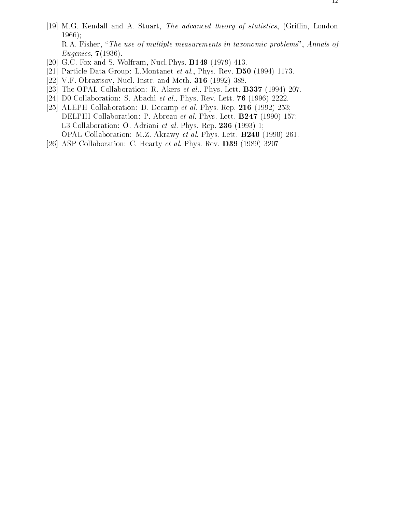- [19] M.G. Kendall and A. Stuart, The advanced theory of statistics, (Griffin, London 1966); R.A. Fisher, "The use of multiple measurements in taxonomic problems", Annals of Eugenics, 7(1936).
- [20] G.C. Fox and S. Wolfram, Nucl.Phys. B149 (1979) 413.
- [21] Particle Data Group: L.Montanet *et al.*, Phys. Rev. **D50** (1994) 1173.
- [22] V.F. Obraztsov, Nucl. Instr. and Meth. 316 (1992) 388.
- [23] The OPAL Collaboration: R. Akers et al., Phys. Lett. **B337** (1994) 207.
- [24] D0 Collaboration: S. Abachi et al., Phys. Rev. Lett. **76** (1996) 2222.
- [25] ALEPH Collaboration: D. Decamp et al. Phys. Rep. 216 (1992) 253; DELPHI Collaboration: P. Abreau *et al.* Phys. Lett. **B247** (1990) 157; L3 Collaboration: O. Adriani et al. Phys. Rep. 236 (1993) 1; OPAL Collaboration: M.Z. Akrawy et al. Phys. Lett. B240 (1990) 261.
- [26] ASP Collaboration: C. Hearty et al. Phys. Rev. D39 (1989) 3207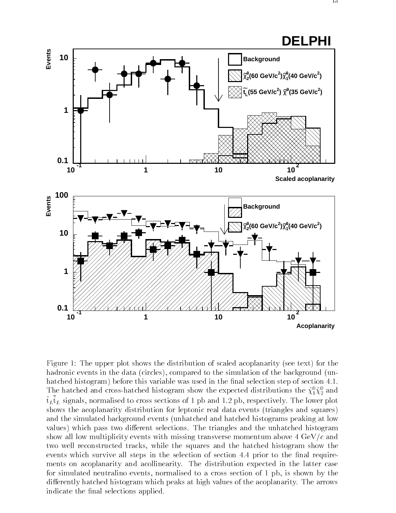

Figure 1: The upper plot shows the distribution of scaled acoplanarity (see text) for the hadronic events in the data (circles), compared to the simulation of the background (unhatched histogram) before this variable was used in the final selection step of section 4.1. The hatched and cross-hatched histogram show the expected distributions the  $\chi_1 \chi_2$  and  $\mathrm{t}_L\mathrm{t}_L$  signals, normalised to cross sections of 1 pb and 1.2 pb, respectively. The lower plot shows the acoplanarity distribution for leptonic real data events (triangles and squares) and the simulated background events (unhatched and hatched histograms peaking at low values) which pass two different selections. The triangles and the unhatched histogram show all low multiplicity events with missing transverse momentum above  $4 \text{ GeV}/c$  and two well reconstructed tracks, while the squares and the hatched histogram show the events which survive all steps in the selection of section 4.4 prior to the final requirements on acoplanarity and acollinearity. The distribution expected in the latter case for simulated neutralino events, normalised to a cross section of 1 pb, is shown by the differently hatched histogram which peaks at high values of the acoplanarity. The arrows indicate the final selections applied.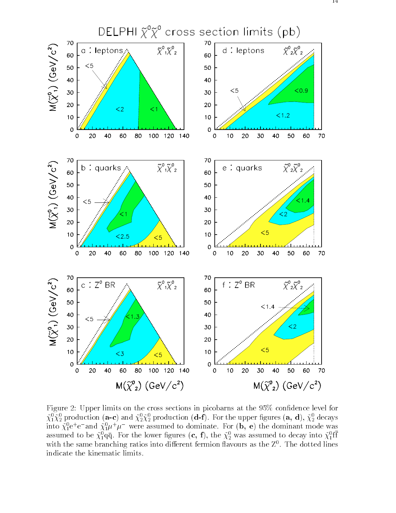

Figure 2: Upper limits on the cross sections in picobarns at the 95% condence level for  $\chi_1 \chi_2$  production (a-c) and  $\chi_2 \chi_2$  production (d-t). For the upper ngures (a, d),  $\chi_2$  decays into  $\chi_1^*{\rm e}^+{\rm e}^-$  and  $\chi_1^*\mu^+\mu^-$  were assumed to dominate. For  $({\rm b},\,{\rm e})$  the dominant mode was assumed to be  $\chi_1^*$ qq. For the lower ligures  $(\mathbf{c},\, \mathbf{1}),$  the  $\chi_2^*$  was assumed to decay into  $\chi_1^*$ 11 with the same branching ratios into different fermion havours as the  $Z^*$  . The dotted fines indicate the kinematic limits.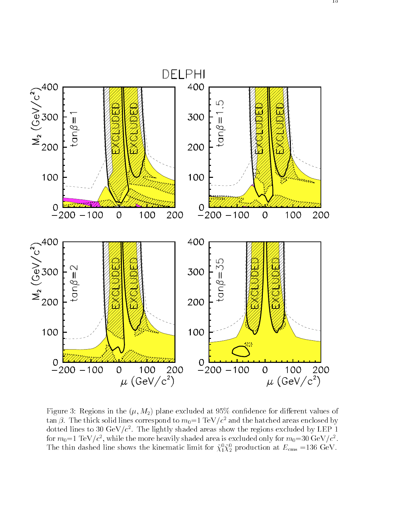

Figure 3: Regions in the  $(\mu, M_2)$  plane excluded at 95% confidence for different values of  $\tan \beta$ . The thick solid lines correspond to  $m_0=1 \text{ TeV}/c^2$  and the hatched areas enclosed by dotted lines to 50 GeV/c . The lightly shaded areas show the regions excluded by LEF  $\,$  1  $\,$ for  $m_0$ =1 TeV/c-, while the more heavily shaded area is excluded only for  $m_0$ =30 GeV/c-. The thin dashed line shows the kinematic limit for  $\chi_1 \chi_2$  production at  $E_{\text{cms}} = 136 \text{ GeV}$ .